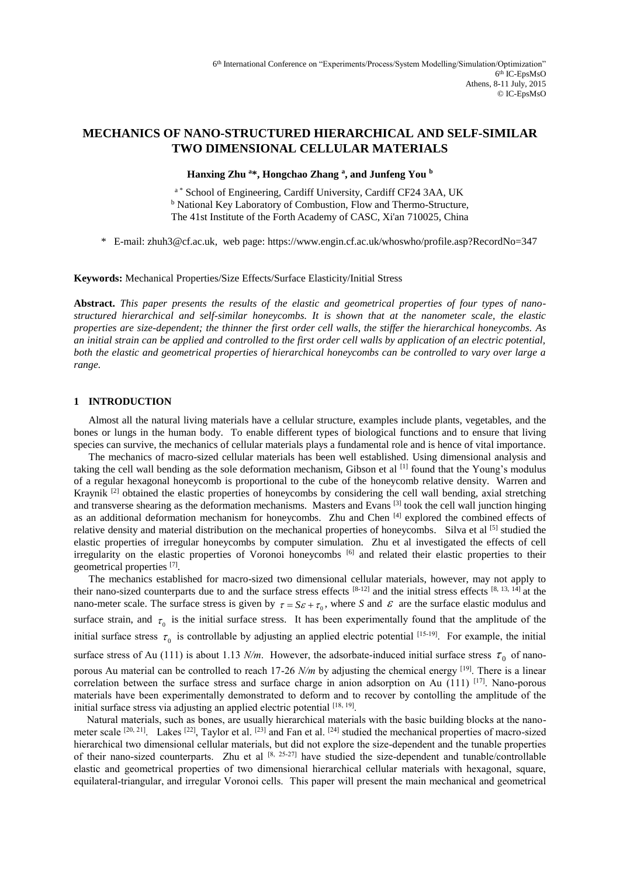# **MECHANICS OF NANO-STRUCTURED HIERARCHICAL AND SELF-SIMILAR TWO DIMENSIONAL CELLULAR MATERIALS**

**Hanxing Zhu <sup>a</sup>\*, Hongchao Zhang <sup>a</sup> , and Junfeng You <sup>b</sup>**

<sup>a</sup> \* School of Engineering, Cardiff University, Cardiff CF24 3AA, UK **b National Key Laboratory of Combustion, Flow and Thermo-Structure,** The 41st Institute of the Forth Academy of CASC, Xi'an 710025, China

\* E-mail: zhuh3@cf.ac.uk, web page: https://www.engin.cf.ac.uk/whoswho/profile.asp?RecordNo=347

**Keywords:** Mechanical Properties/Size Effects/Surface Elasticity/Initial Stress

**Abstract.** *This paper presents the results of the elastic and geometrical properties of four types of nanostructured hierarchical and self-similar honeycombs. It is shown that at the nanometer scale, the elastic properties are size-dependent; the thinner the first order cell walls, the stiffer the hierarchical honeycombs. As an initial strain can be applied and controlled to the first order cell walls by application of an electric potential, both the elastic and geometrical properties of hierarchical honeycombs can be controlled to vary over large a range.*

### **1 INTRODUCTION**

Almost all the natural living materials have a cellular structure, examples include plants, vegetables, and the bones or lungs in the human body. To enable different types of biological functions and to ensure that living species can survive, the mechanics of cellular materials plays a fundamental role and is hence of vital importance.

The mechanics of macro-sized cellular materials has been well established. Using dimensional analysis and taking the cell wall bending as the sole deformation mechanism, Gibson et al [1] found that the Young's modulus of a regular hexagonal honeycomb is proportional to the cube of the honeycomb relative density. Warren and Kraynik  $^{[2]}$  obtained the elastic properties of honeycombs by considering the cell wall bending, axial stretching and transverse shearing as the deformation mechanisms. Masters and Evans<sup>[3]</sup> took the cell wall junction hinging as an additional deformation mechanism for honeycombs. Zhu and Chen [4] explored the combined effects of relative density and material distribution on the mechanical properties of honeycombs. Silva et al [5] studied the elastic properties of irregular honeycombs by computer simulation. Zhu et al investigated the effects of cell irregularity on the elastic properties of Voronoi honeycombs [6] and related their elastic properties to their geometrical properties [7] .

The mechanics established for macro-sized two dimensional cellular materials, however, may not apply to their nano-sized counterparts due to and the surface stress effects  $[8-12]$  and the initial stress effects  $[8, 13, 14]$  at the nano-meter scale. The surface stress is given by  $\tau = S\varepsilon + \tau_0$ , where *S* and  $\varepsilon$  are the surface elastic modulus and surface strain, and  $\tau_0$  is the initial surface stress. It has been experimentally found that the amplitude of the initial surface stress  $\tau_0$  is controllable by adjusting an applied electric potential [15-19]. For example, the initial surface stress of Au (111) is about 1.13 *N/m*. However, the adsorbate-induced initial surface stress  $\tau_0$  of nanoporous Au material can be controlled to reach 17-26 *N/m* by adjusting the chemical energy [19] . There is a [linear](http://www.ingentaconnect.com/content/els/00220728/1998/00000452/00000002/art00137;jsessionid=3l556k88rmml7.alexandra)  [correlation between the surface stress and surface charge in anion adsorption on Au](http://www.ingentaconnect.com/content/els/00220728/1998/00000452/00000002/art00137;jsessionid=3l556k88rmml7.alexandra) (111) [17]. Nano-porous materials have been experimentally demonstrated to deform and to recover by contolling the amplitude of the initial surface stress via adjusting an applied electric potential  $^{[18, 19]}$ .

 Natural materials, such as bones, are usually hierarchical materials with the basic building blocks at the nanometer scale  $[20, 21]$ . Lakes  $[22]$ , Taylor et al.  $[23]$  and Fan et al.  $[24]$  studied the mechanical properties of macro-sized hierarchical two dimensional cellular materials, but did not explore the size-dependent and the tunable properties of their nano-sized counterparts. Zhu et al  $[8, 25-27]$  have studied the size-dependent and tunable/controllable elastic and geometrical properties of two dimensional hierarchical cellular materials with hexagonal, square, equilateral-triangular, and irregular Voronoi cells. This paper will present the main mechanical and geometrical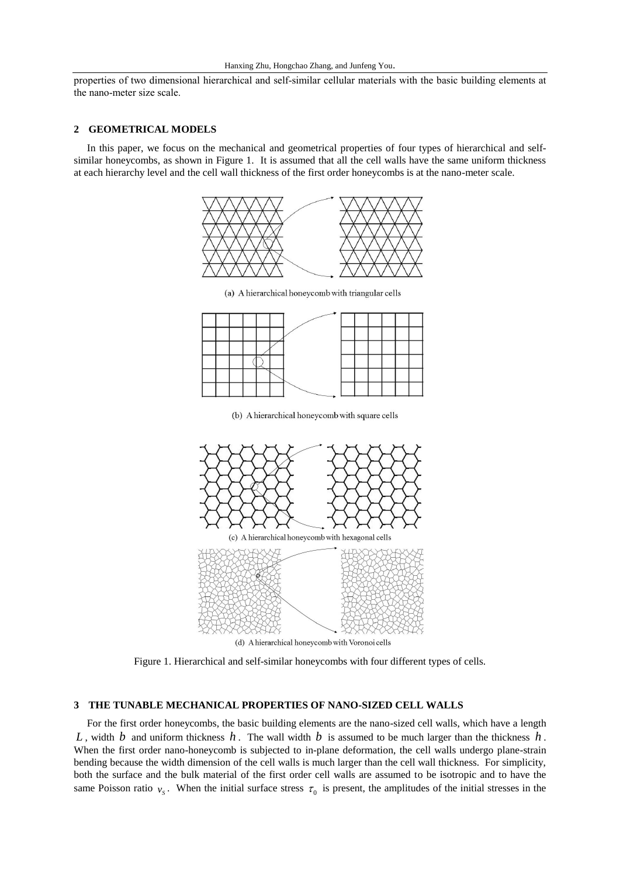properties of two dimensional hierarchical and self-similar cellular materials with the basic building elements at the nano-meter size scale.

### **2 GEOMETRICAL MODELS**

 In this paper, we focus on the mechanical and geometrical properties of four types of hierarchical and selfsimilar honeycombs, as shown in Figure 1. It is assumed that all the cell walls have the same uniform thickness at each hierarchy level and the cell wall thickness of the first order honeycombs is at the nano-meter scale.



(a) A hierarchical honeycomb with triangular cells



(b) A hierarchical honeycomb with square cells



(d) A hierarchical honeycomb with Voronoi cells

Figure 1. Hierarchical and self-similar honeycombs with four different types of cells.

## **3 THE TUNABLE MECHANICAL PROPERTIES OF NANO-SIZED CELL WALLS**

 For the first order honeycombs, the basic building elements are the nano-sized cell walls, which have a length L, width  $b$  and uniform thickness  $h$ . The wall width  $b$  is assumed to be much larger than the thickness  $h$ . When the first order nano-honeycomb is subjected to in-plane deformation, the cell walls undergo plane-strain bending because the width dimension of the cell walls is much larger than the cell wall thickness. For simplicity, both the surface and the bulk material of the first order cell walls are assumed to be isotropic and to have the same Poisson ratio  $v_s$ . When the initial surface stress  $\tau_0$  is present, the amplitudes of the initial stresses in the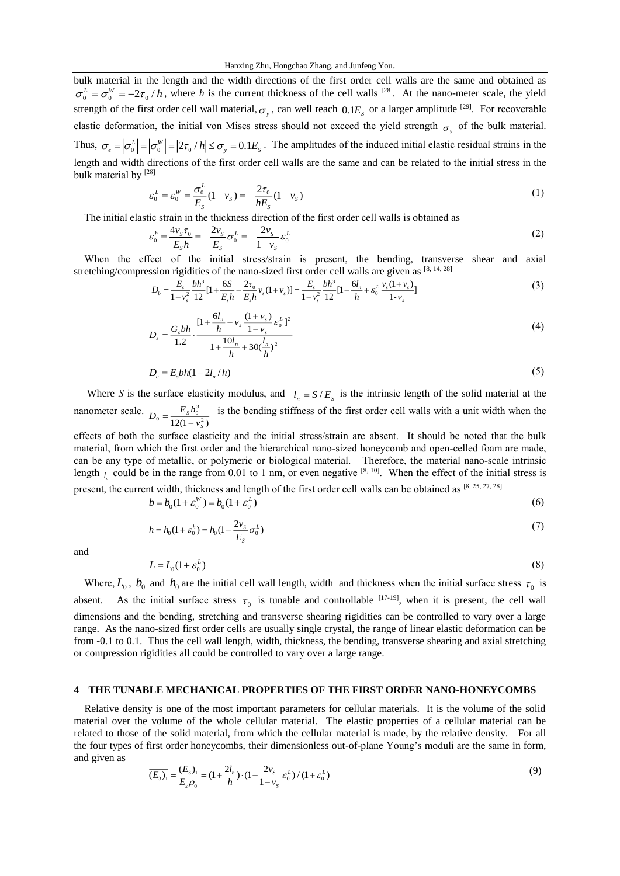bulk material in the length and the width directions of the first order cell walls are the same and obtained as  $\sigma_0^L = \sigma_0^W = -2\tau_0/h$ , where *h* is the current thickness of the cell walls <sup>[28]</sup>. At the nano-meter scale, the yield strength of the first order cell wall material,  $\sigma_y$ , can well reach  $0.1E_s$  or a larger amplitude <sup>[29]</sup>. For recoverable elastic deformation, the initial von Mises stress should not exceed the yield strength  $\sigma_y$  of the bulk material. Thus,  $\sigma_e = |\sigma_0^L| = |\sigma_0^W| = |2\tau_0 / h| \le \sigma_y = 0.1E_s$ . The amplitudes of the induced initial elastic residual strains in the length and width directions of the first order cell walls are the same and can be related to the initial stress in the bulk material by [28]

$$
\varepsilon_0^L = \varepsilon_0^W = \frac{\sigma_0^L}{E_S} (1 - v_S) = -\frac{2\tau_0}{hE_S} (1 - v_S)
$$
\n(1)

The initial elastic strain in the thickness direction of the first order cell walls is obtained as

$$
\varepsilon_0^h = \frac{4v_s \tau_0}{E_s h} = -\frac{2v_s}{E_s} \sigma_0^L = -\frac{2v_s}{1 - v_s} \varepsilon_0^L
$$
\n(2)

 When the effect of the initial stress/strain is present, the bending, transverse shear and axial stretching/compression rigidities of the nano-sized first order cell walls are given as  $[8, 14, 28]$ 

$$
D_b = \frac{E_s}{1 - v_s^2} \frac{bh^3}{12} [1 + \frac{6S}{E_s h} - \frac{2\tau_0}{E_s h} v_s (1 + v_s)] = \frac{E_s}{1 - v_s^2} \frac{bh^3}{12} [1 + \frac{6l_n}{h} + \varepsilon_0^L \frac{v_s (1 + v_s)}{1 - v_s}]
$$
(3)

$$
D_s = \frac{G_s bh}{1.2} \cdot \frac{[1 + \frac{6l_n}{h} + v_s \frac{(1 + v_s)}{1 - v_s} \varepsilon_0^L]^2}{1 + \frac{10l_n}{h} + 30(\frac{l_n}{h})^2}
$$
(4)

$$
D_c = E_s bh(1 + 2l_n/h) \tag{5}
$$

Where *S* is the surface elasticity modulus, and  $l_n = S/E_s$  is the intrinsic length of the solid material at the nanometer scale.  $12(1 - v_s^2)$  $_0 = \frac{E_s h_0^3}{12(1 - v_s^2)}$ *S v*  $D_0 = \frac{E_s h_0}{12(1 - \frac{1}{2})}$  $=\frac{E_s h_0^3}{2}$  is the bending stiffness of the first order cell walls with a unit width when the

effects of both the surface elasticity and the initial stress/strain are absent. It should be noted that the bulk material, from which the first order and the hierarchical nano-sized honeycomb and open-celled foam are made, can be any type of metallic, or polymeric or biological material. Therefore, the material nano-scale intrinsic length  $_l$  could be in the range from 0.01 to 1 nm, or even negative  $[8, 10]$ . When the effect of the initial stress is present, the current width, thickness and length of the first order cell walls can be obtained as [8, 25, 27, 28]

$$
b = b_0(1 + \varepsilon_0^W) = b_0(1 + \varepsilon_0^L)
$$
\n(6)

$$
h = h_0(1 + \varepsilon_0^h) = h_0(1 - \frac{2v_s}{E_s} \sigma_0^L)
$$
\n(7)

and

$$
L = L_0(1 + \varepsilon_0^L) \tag{8}
$$

Where,  $L_0$ ,  $b_0$  and  $h_0$  are the initial cell wall length, width and thickness when the initial surface stress  $\tau_0$  is absent. As the initial surface stress  $\tau_0$  is tunable and controllable  $[17-19]$ , when it is present, the cell wall dimensions and the bending, stretching and transverse shearing rigidities can be controlled to vary over a large range. As the nano-sized first order cells are usually single crystal, the range of linear elastic deformation can be from -0.1 to 0.1. Thus the cell wall length, width, thickness, the bending, transverse shearing and axial stretching or compression rigidities all could be controlled to vary over a large range.

### **4 THE TUNABLE MECHANICAL PROPERTIES OF THE FIRST ORDER NANO-HONEYCOMBS**

Relative density is one of the most important parameters for cellular materials. It is the volume of the solid material over the volume of the whole cellular material. The elastic properties of a cellular material can be related to those of the solid material, from which the cellular material is made, by the relative density. For all the four types of first order honeycombs, their dimensionless out-of-plane Young's moduli are the same in form, and given as

$$
\overline{(E_3)}_1 = \frac{(E_3)_1}{E_s \rho_0} = (1 + \frac{2l_n}{h}) \cdot (1 - \frac{2v_s}{1 - v_s} \varepsilon_0^L) / (1 + \varepsilon_0^L)
$$
\n(9)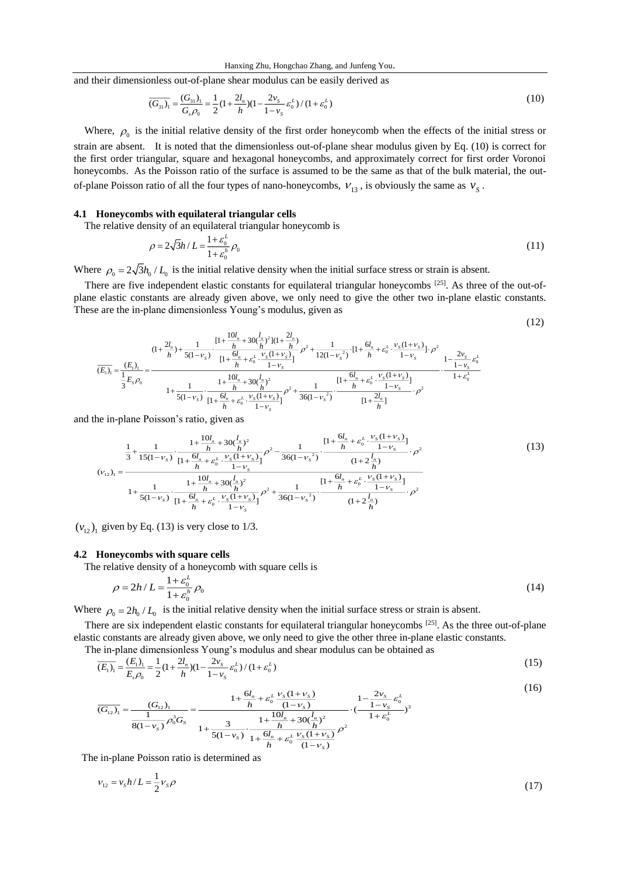and their dimensionless out-of-plane shear modulus can be easily derived as

$$
\overline{(G_{31})_1} = \frac{(G_{31})_1}{G_s \rho_0} = \frac{1}{2} (1 + \frac{2l_n}{h}) (1 - \frac{2v_s}{1 - v_s} \varepsilon_0^L) / (1 + \varepsilon_0^L)
$$
\n(10)

Where,  $\rho_0$  is the initial relative density of the first order honeycomb when the effects of the initial stress or strain are absent. It is noted that the dimensionless out-of-plane shear modulus given by Eq. (10) is correct for the first order triangular, square and hexagonal honeycombs, and approximately correct for first order Voronoi honeycombs. As the Poisson ratio of the surface is assumed to be the same as that of the bulk material, the outof-plane Poisson ratio of all the four types of nano-honeycombs,  $V_{13}$ , is obviously the same as  $V_S$ .

### **4.1 Honeycombs with equilateral triangular cells**

The relative density of an equilateral triangular honeycomb is

$$
\rho = 2\sqrt{3}h/L = \frac{1 + \varepsilon_0^L}{1 + \varepsilon_0^h} \rho_0
$$
\n(11)

Where  $\rho_0 = 2\sqrt{3}h_0/L_0$  is the initial relative density when the initial surface stress or strain is absent.

There are five independent elastic constants for equilateral triangular honeycombs [25]. As three of the out-ofplane elastic constants are already given above, we only need to give the other two in-plane elastic constants. These are the in-plane dimensionless Young's modulus, given as

$$
(12)
$$

$$
\frac{(1+\frac{2l_n}{h})+\frac{1}{5(1-\nu_s)}\cdot\frac{[1+\frac{10l_n}{h}+30(\frac{l_n}{h})^2](1+\frac{2l_n}{h})}{[1+\frac{6l_n}{h}+\varepsilon_0^l\cdot\frac{\nu_s(1+\nu_s)}{1-\nu_s}]}\rho^2+\frac{1}{12(1-\nu_s^2)}\cdot[1+\frac{6l_n}{h}+\varepsilon_0^l\cdot\frac{\nu_s(1+\nu_s)}{1-\nu_s}]\cdot\rho^2}{[\frac{1}{3}E_s\rho_0}=\frac{\frac{(E_1)_1}{1-\nu_s}=\frac{(1+\frac{10l_n}{h}+30(\frac{l_n}{h})^2}{1-\nu_s}+\frac{1+\frac{10l_n}{h}+30(\frac{l_n}{h})^2}{h}]}{1+\frac{1}{5(1-\nu_s)}\cdot\frac{1+\frac{6l_n}{h}+\varepsilon_0^l\cdot\frac{\nu_s(1+\nu_s)}{1-\nu_s}]}{1-\nu_s}\rho^2+\frac{1}{36(1-\nu_s^2)}\cdot\frac{[1+\frac{6l_n}{h}+\varepsilon_0^l\cdot\frac{\nu_s(1+\nu_s)}{1-\nu_s}]}{1+\frac{2l_n}{h}]\cdot\rho^2}}\cdot\rho^2
$$

and the in-plane Poisson's ratio, given as

$$
(v_{12})_1 = \frac{\frac{1}{3} + \frac{1}{15(1 - v_s)} \cdot \frac{1 + \frac{10l_n}{h} + 30(\frac{l_n}{h})^2}{\left[1 + \frac{6l_n}{h} + \varepsilon_0^l \cdot \frac{v_s(1 + v_s)}{1 - v_s}\right]} \rho^2 - \frac{1}{36(1 - v_s^2)} \cdot \frac{\left[1 + \frac{6l_n}{h} + \varepsilon_0^l \cdot \frac{v_s(1 + v_s)}{1 - v_s}\right]}{\left(1 + 2\frac{l_n}{h}\right)} \cdot \rho^2}{\left(1 + 2\frac{l_n}{h}\right)}
$$
\n
$$
1 + \frac{1}{5(1 - v_s)} \cdot \frac{1 + \frac{10l_n}{h} + 30(\frac{l_n}{h})^2}{\left[1 + \frac{6l_n}{h} + \varepsilon_0^l \cdot \frac{v_s(1 + v_s)}{1 - v_s}\right]} \rho^2 + \frac{1}{36(1 - v_s^2)} \cdot \frac{\left[1 + \frac{6l_n}{h} + \varepsilon_0^l \cdot \frac{v_s(1 + v_s)}{1 - v_s}\right]}{\left(1 + 2\frac{l_n}{h}\right)} \cdot \rho^2}
$$
\n
$$
(13)
$$

 $(v_{12})$  given by Eq. (13) is very close to 1/3.

### **4.2 Honeycombs with square cells**

The relative density of a honeycomb with square cells is

$$
\rho = 2h/L = \frac{1 + \varepsilon_0^L}{1 + \varepsilon_0^h} \rho_0 \tag{14}
$$

Where  $\rho_0 = 2h_0 / L_0$  is the initial relative density when the initial surface stress or strain is absent.

There are six independent elastic constants for equilateral triangular honeycombs  $^{[25]}$ . As the three out-of-plane elastic constants are already given above, we only need to give the other three in-plane elastic constants.

The in-plane dimensionless Young's modulus and shear modulus can be obtained as

$$
\overline{(E_1)}_1 = \frac{(E_1)_1}{E_s \rho_0} = \frac{1}{2} (1 + \frac{2l_n}{h}) (1 - \frac{2v_s}{1 - v_s} \varepsilon_0^L) / (1 + \varepsilon_0^L)
$$
\n(15)

$$
\overline{(G_{12})_1} = \frac{(G_{12})_1}{\frac{1}{8(1-\nu_s)}\rho_0^3 G_s} = \frac{1 + \frac{6l_n}{h} + \varepsilon_0^L \frac{\nu_s(1+\nu_s)}{(1-\nu_s)}}{1 + \frac{3}{5(1-\nu_s)} \cdot \frac{1 + \frac{10l_n}{h} + 30(\frac{l_n}{h})^2}{1 + \varepsilon_0^L} \cdot (\frac{1 - \frac{2\nu_s}{1-\nu_s}\varepsilon_0^L}{1 + \varepsilon_0^L})^3}
$$
\n(16)

The in-plane Poisson ratio is determined as

$$
v_{12} = v_s h / L = \frac{1}{2} v_s \rho
$$
\n(17)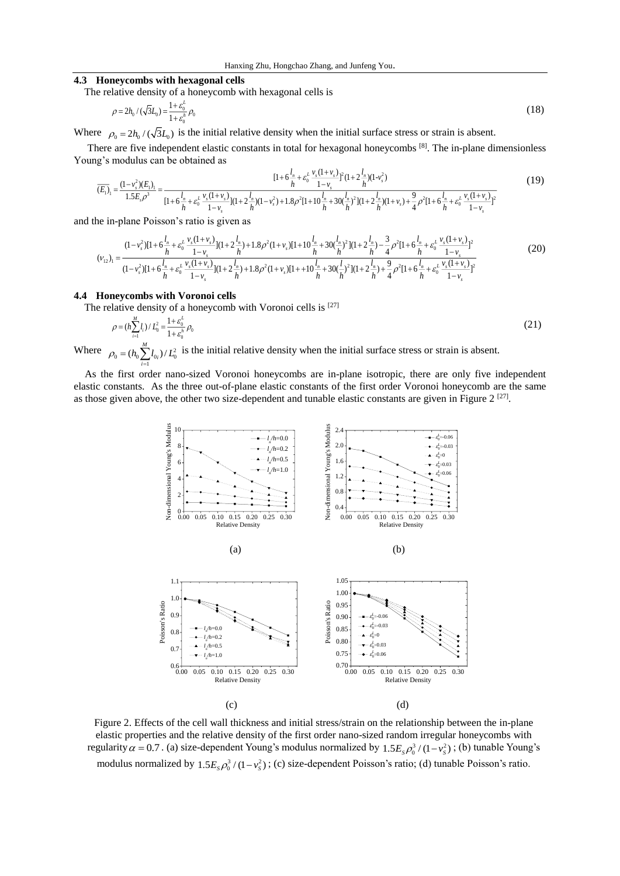## **4.3 Honeycombs with hexagonal cells**

The relative density of a honeycomb with hexagonal cells is

$$
\rho = 2h_0 / (\sqrt{3}L_0) = \frac{1 + \varepsilon_0^L}{1 + \varepsilon_0^h} \rho_0
$$
\n(18)

Where  $\rho_0 = 2h_0/(\sqrt{3}L_0)$  is the initial relative density when the initial surface stress or strain is absent.

There are five independent elastic constants in total for hexagonal honeycombs <sup>[8]</sup>. The in-plane dimensionless Young's modulus can be obtained as

$$
\overline{(E_i)}_1 = \frac{(1 - v_s^2)(E_i)_1}{1.5E_s \rho^3} = \frac{[1 + 6\frac{l_n}{h} + \varepsilon_0^L \frac{v_s(1 + v_s)}{1 - v_s}]^2 (1 + 2\frac{l_n}{h})(1 - v_s^2)}{[1 + 6\frac{l_n}{h} + \varepsilon_0^L \frac{v_s(1 + v_s)}{1 - v_s}](1 + 2\frac{l_n}{h})(1 - v_s^2) + 1.8\rho^2[1 + 10\frac{l_n}{h} + 30(\frac{l_n}{h})^2](1 + 2\frac{l_n}{h})(1 + v_s) + \frac{9}{4}\rho^2[1 + 6\frac{l_n}{h} + \varepsilon_0^L \frac{v_s(1 + v_s)}{1 - v_s}]^2 (1 + 2\frac{l_n}{h})(1 - v_s^2) + 1.8\rho^2[1 + 10\frac{l_n}{h} + 30(\frac{l_n}{h})^2](1 + 2\frac{l_n}{h})(1 + v_s) + \frac{9}{4}\rho^2[1 + 6\frac{l_n}{h} + \varepsilon_0^L \frac{v_s(1 + v_s)}{1 - v_s}]^2 (1 + 2\frac{l_n}{h})(1 - v_s^2) + 1.8\rho^2[1 + 10\frac{l_n}{h} + 30(\frac{l_n}{h})^2](1 + 2\frac{l_n}{h})(1 + v_s) + \frac{9}{4}\rho^2[1 + 6\frac{l_n}{h} + \varepsilon_0^L \frac{v_s(1 + v_s)}{1 - v_s}](1 + 2\frac{l_n}{h})(1 - v_s^2) + 1.8\rho^2[1 + 10\frac{l_n}{h} + 30(\frac{l_n}{h})^2](1 + 2\frac{l_n}{h})(1 + v_s) + \frac{9}{4}\rho^2[1 + 6\frac{l_n}{h} + \varepsilon_0^L \frac{v_s(1 + v_s)}{1 - v_s}](1 + 2\frac{l_n}{h})(1 + v_s^2) + \frac{1}{4}\rho^2[1 + 6\frac{l_n}{h} + \varepsilon_0^L \frac{v_s(1 + v_s)}{1 - v_s}](1 + 2\frac{l_n}{h})(1 + v_s^2) + \frac{9}{4}\rho^2[1 + 6\frac{l_n}{h} + \varepsilon_0^L \frac{v_s(1 + v_s)}{1 - v_s}](1 +
$$

and the in-plane Poisson's ratio is given as

$$
(v_{12})_1 = \frac{(1 - v_s^2)[1 + 6\frac{l_n}{h} + \varepsilon_0^L \frac{v_s(1 + v_s)}{1 - v_s}](1 + 2\frac{l_n}{h}) + 1.8\rho^2(1 + v_s)[1 + 10\frac{l_n}{h} + 30(\frac{l_n}{h})^2](1 + 2\frac{l_n}{h}) - \frac{3}{4}\rho^2[1 + 6\frac{l_n}{h} + \varepsilon_0^L \frac{v_s(1 + v_s)}{1 - v_s}]^2}{(1 - v_s^2)[1 + 6\frac{l_n}{h} + \varepsilon_0^L \frac{v_s(1 + v_s)}{1 - v_s}](1 + 2\frac{l_n}{h}) + 1.8\rho^2(1 + v_s)[1 + 10\frac{l_n}{h} + 30(\frac{L}{h})^2](1 + 2\frac{l_n}{h}) + \frac{9}{4}\rho^2[1 + 6\frac{l_n}{h} + \varepsilon_0^L \frac{v_s(1 + v_s)}{1 - v_s}]^2}
$$
(20)

## **4.4 Honeycombs with Voronoi cells**

The relative density of a honeycomb with Voronoi cells is [27]

$$
\rho = (h \sum_{i=1}^{M} l_i) / L_0^2 = \frac{1 + \varepsilon_0^L}{1 + \varepsilon_0^h} \rho_0
$$
\n(21)

Where  $b_0 = (h_0 \sum_{i=1}^{M} l_{0i}) / L_0^2$  $\rho_0 = (h_0 \sum_{i=1}^{m} l_{0i}) / L_0^2$  is the initial relative density when the initial surface stress or strain is absent.

As the first order nano-sized Voronoi honeycombs are in-plane isotropic, there are only five independent elastic constants. As the three out-of-plane elastic constants of the first order Voronoi honeycomb are the same as those given above, the other two size-dependent and tunable elastic constants are given in Figure  $2^{[27]}$ .



Figure 2. Effects of the cell wall thickness and initial stress/strain on the relationship between the in-plane elastic properties and the relative density of the first order nano-sized random irregular honeycombs with regularity  $\alpha = 0.7$ . (a) size-dependent Young's modulus normalized by  $1.5E_s \rho_0^3/(1-v_s^2)$ ; (b) tunable Young's modulus normalized by  $1.5E_s \rho_0^3/(1-v_s^2)$ ; (c) size-dependent Poisson's ratio; (d) tunable Poisson's ratio.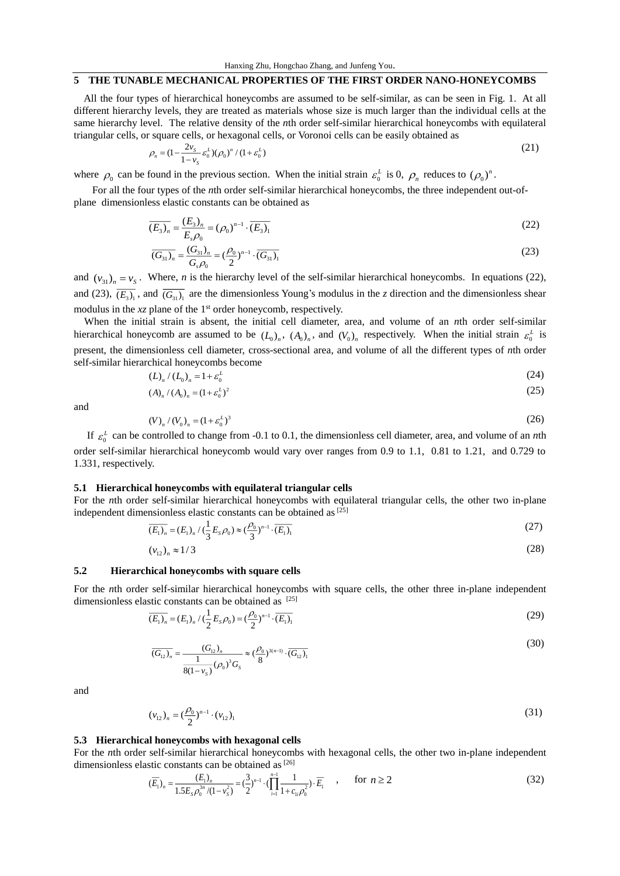## **5 THE TUNABLE MECHANICAL PROPERTIES OF THE FIRST ORDER NANO-HONEYCOMBS**

 All the four types of hierarchical honeycombs are assumed to be self-similar, as can be seen in Fig. 1. At all different hierarchy levels, they are treated as materials whose size is much larger than the individual cells at the same hierarchy level. The relative density of the *n*th order self-similar hierarchical honeycombs with equilateral triangular cells, or square cells, or hexagonal cells, or Voronoi cells can be easily obtained as

$$
\rho_n = (1 - \frac{2v_s}{1 - v_s} \varepsilon_0^L)(\rho_0)^n / (1 + \varepsilon_0^L)
$$
\n(21)

where  $\rho_0$  can be found in the previous section. When the initial strain  $\varepsilon_0^L$  is 0,  $\rho_n$  reduces to  $(\rho_0)^n$ .

 For all the four types of the *n*th order self-similar hierarchical honeycombs, the three independent out-ofplane dimensionless elastic constants can be obtained as

$$
\overline{(E_3)_n} = \frac{(E_3)_n}{E_s \rho_0} = (\rho_0)^{n-1} \cdot \overline{(E_3)_1}
$$
\n(22)

$$
\overline{(G_{31})_n} = \frac{(G_{31})_n}{G_s \rho_0} = \left(\frac{\rho_0}{2}\right)^{n-1} \cdot \overline{(G_{31})_1}
$$
\n(23)

and  $(v_{31})_n = v_s$ . Where, *n* is the hierarchy level of the self-similar hierarchical honeycombs. In equations (22), and (23),  $\overline{(E_3)}_1$ , and  $\overline{(G_{31})}_1$  are the dimensionless Young's modulus in the *z* direction and the dimensionless shear modulus in the  $xz$  plane of the  $1<sup>st</sup>$  order honeycomb, respectively.

 When the initial strain is absent, the initial cell diameter, area, and volume of an *n*th order self-similar hierarchical honeycomb are assumed to be  $(L_0)_n$ ,  $(A_0)_n$ , and  $(V_0)_n$  respectively. When the initial strain  $\varepsilon_0^L$  is present, the dimensionless cell diameter, cross-sectional area, and volume of all the different types of *n*th order self-similar hierarchical honeycombs become

$$
(L)n / (L0)n = 1 + \varepsilon0L
$$
 (24)

$$
(A)_{n}/(A_{0})_{n} = (1 + \varepsilon_{0}^{L})^{2}
$$
\n(25)

and

$$
(V)_n / (V_0)_n = (1 + \varepsilon_0^L)^3
$$
\n(26)

If  $\varepsilon_0^L$  can be controlled to change from -0.1 to 0.1, the dimensionless cell diameter, area, and volume of an *n*th order self-similar hierarchical honeycomb would vary over ranges from 0.9 to 1.1, 0.81 to 1.21, and 0.729 to 1.331, respectively.

#### **5.1 Hierarchical honeycombs with equilateral triangular cells**

For the *n*th order self-similar hierarchical honeycombs with equilateral triangular cells, the other two in-plane independent dimensionless elastic constants can be obtained as [25]

$$
\overline{(E_1)_n} = (E_1)_n / (\frac{1}{3}E_s \rho_0) \approx (\frac{\rho_0}{3})^{n-1} \cdot \overline{(E_1)_1}
$$
\n(27)

$$
(\nu_{12})_n \approx 1/3 \tag{28}
$$

### **5.2 Hierarchical honeycombs with square cells**

For the *n*th order self-similar hierarchical honeycombs with square cells, the other three in-plane independent dimensionless elastic constants can be obtained as [25]

$$
\overline{(E_1)_n} = (E_1)_n / (\frac{1}{2} E_s \rho_0) = (\frac{\rho_0}{2})^{n-1} \cdot \overline{(E_1)_1}
$$
\n(29)

$$
\overline{(G_{12})_n} = \frac{(G_{12})_n}{\frac{1}{8(1-\nu_s)} (\rho_0)^3 G_s} \approx (\frac{\rho_0}{8})^{3(n-1)} \cdot \overline{(G_{12})_1}
$$
\n(30)

and

$$
(\nu_{12})_n = \left(\frac{\rho_0}{2}\right)^{n-1} \cdot (\nu_{12})_1
$$
\n(31)

### **5.3 Hierarchical honeycombs with hexagonal cells**

For the *n*th order self-similar hierarchical honeycombs with hexagonal cells, the other two in-plane independent dimensionless elastic constants can be obtained as  $[26]$ 

$$
(\overline{E}_1)_n = \frac{(E_1)_n}{1.5E_s \rho_0^{3n}/(1-\nu_s^2)} = \left(\frac{3}{2}\right)^{n-1} \cdot \left(\prod_{i=1}^{n-1} \frac{1}{1+c_{i} \rho_0^2}\right) \cdot \overline{E}_1 \qquad , \qquad \text{for } n \ge 2
$$
 (32)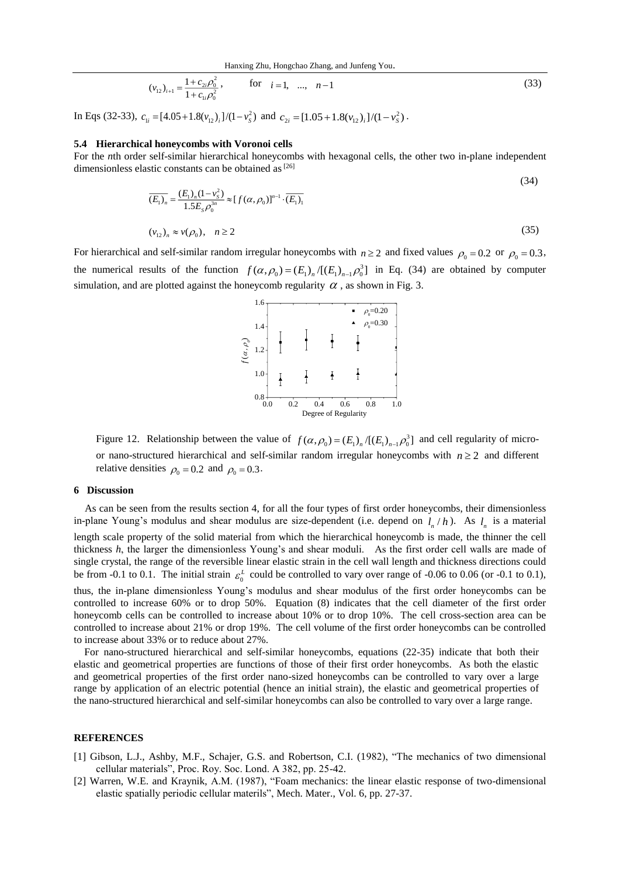$$
(v_{12})_{i+1} = \frac{1 + c_{2i}\rho_0^2}{1 + c_{1i}\rho_0^2}, \qquad \text{for} \quad i = 1, \ \dots, \ \ n-1
$$
 (33)

In Eqs (32-33),  $c_{1i} = [4.05 + 1.8(v_{12})_i]/(1 - v_s^2)$  and  $c_{2i} = [1.05 + 1.8(v_{12})_i]/(1 - v_s^2)$ .

#### **5.4 Hierarchical honeycombs with Voronoi cells**

For the *n*th order self-similar hierarchical honeycombs with hexagonal cells, the other two in-plane independent dimensionless elastic constants can be obtained as  $^{[26]}$ 

$$
\overline{(E_1)_n} = \frac{(E_1)_n (1 - v_s^2)}{1.5 E_s \rho_0^{3n}} \approx [f(\alpha, \rho_0)]^{n-1} \cdot \overline{(E_1)_1}
$$
  
\n
$$
(v_{12})_n \approx v(\rho_0), \quad n \ge 2
$$
\n(35)

(34)

For hierarchical and self-similar random irregular honeycombs with  $n \ge 2$  and fixed values  $\rho_0 = 0.2$  or  $\rho_0 = 0.3$ , the numerical results of the function  $f(\alpha, \rho_0) = (E_1)_{n} / [(E_1)_{n-1} \rho_0^3]$  in Eq. (34) are obtained by computer simulation, and are plotted against the honeycomb regularity  $\alpha$ , as shown in Fig. 3.



Figure 12. Relationship between the value of  $f(\alpha, \rho_0) = (E_1)_n / [(E_1)_{n-1}, \rho_0^3]$  and cell regularity of microor nano-structured hierarchical and self-similar random irregular honeycombs with  $n \geq 2$  and different relative densities  $\rho_0 = 0.2$  and  $\rho_0 = 0.3$ .

#### **6 Discussion**

As can be seen from the results section 4, for all the four types of first order honeycombs, their dimensionless in-plane Young's modulus and shear modulus are size-dependent (i.e. depend on  $l_n / h$ ). As  $l_n$  is a material length scale property of the solid material from which the hierarchical honeycomb is made, the thinner the cell thickness *h*, the larger the dimensionless Young's and shear moduli. As the first order cell walls are made of single crystal, the range of the reversible linear elastic strain in the cell wall length and thickness directions could be from -0.1 to 0.1. The initial strain  $\varepsilon_0^L$  could be controlled to vary over range of -0.06 to 0.06 (or -0.1 to 0.1), thus, the in-plane dimensionless Young's modulus and shear modulus of the first order honeycombs can be controlled to increase 60% or to drop 50%. Equation (8) indicates that the cell diameter of the first order honeycomb cells can be controlled to increase about 10% or to drop 10%. The cell cross-section area can be controlled to increase about 21% or drop 19%. The cell volume of the first order honeycombs can be controlled to increase about 33% or to reduce about 27%.

For nano-structured hierarchical and self-similar honeycombs, equations (22-35) indicate that both their elastic and geometrical properties are functions of those of their first order honeycombs. As both the elastic and geometrical properties of the first order nano-sized honeycombs can be controlled to vary over a large range by application of an electric potential (hence an initial strain), the elastic and geometrical properties of the nano-structured hierarchical and self-similar honeycombs can also be controlled to vary over a large range.

#### **REFERENCES**

- [1] Gibson, L.J., Ashby, M.F., Schajer, G.S. and Robertson, C.I. (1982), "The mechanics of two dimensional cellular materials", Proc. Roy. Soc. Lond. A 382, pp. 25-42.
- [2] Warren, W.E. and Kraynik, A.M. (1987), "Foam mechanics: the linear elastic response of two-dimensional elastic spatially periodic cellular materils", Mech. Mater., Vol. 6, pp. 27-37.